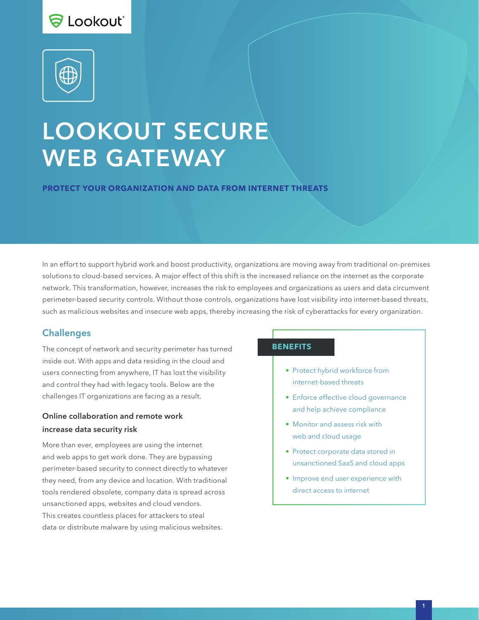# S Lookout\*



# LOOKOUT SECURE WEB GATEWAY

**PROTECT YOUR ORGANIZATION AND DATA FROM INTERNET THREATS**

In an effort to support hybrid work and boost productivity, organizations are moving away from traditional on-premises solutions to cloud-based services. A major effect of this shift is the increased reliance on the internet as the corporate network. This transformation, however, increases the risk to employees and organizations as users and data circumvent perimeter-based security controls. Without those controls, organizations have lost visibility into internet-based threats, such as malicious websites and insecure web apps, thereby increasing the risk of cyberattacks for every organization.

#### **Challenges**

The concept of network and security perimeter has turned inside out. With apps and data residing in the cloud and users connecting from anywhere, IT has lost the visibility and control they had with legacy tools. Below are the challenges IT organizations are facing as a result.

## Online collaboration and remote work increase data security risk

More than ever, employees are using the internet and web apps to get work done. They are bypassing perimeter-based security to connect directly to whatever they need, from any device and location. With traditional tools rendered obsolete, company data is spread across unsanctioned apps, websites and cloud vendors. This creates countless places for attackers to steal data or distribute malware by using malicious websites.

#### **BENEFITS**

- Protect hybrid workforce from internet-based threats
- Enforce effective cloud governance and help achieve compliance
- Monitor and assess risk with web and cloud usage
- Protect corporate data stored in unsanctioned SaaS and cloud apps
- Improve end user experience with direct access to internet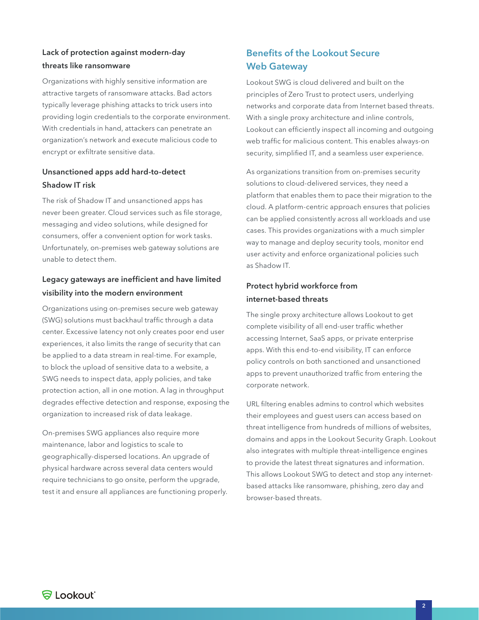# Lack of protection against modern-day threats like ransomware

Organizations with highly sensitive information are attractive targets of ransomware attacks. Bad actors typically leverage phishing attacks to trick users into providing login credentials to the corporate environment. With credentials in hand, attackers can penetrate an organization's network and execute malicious code to encrypt or exfiltrate sensitive data.

## Unsanctioned apps add hard-to-detect Shadow IT risk

The risk of Shadow IT and unsanctioned apps has never been greater. Cloud services such as file storage, messaging and video solutions, while designed for consumers, offer a convenient option for work tasks. Unfortunately, on-premises web gateway solutions are unable to detect them.

## Legacy gateways are inefficient and have limited visibility into the modern environment

Organizations using on-premises secure web gateway (SWG) solutions must backhaul traffic through a data center. Excessive latency not only creates poor end user experiences, it also limits the range of security that can be applied to a data stream in real-time. For example, to block the upload of sensitive data to a website, a SWG needs to inspect data, apply policies, and take protection action, all in one motion. A lag in throughput degrades effective detection and response, exposing the organization to increased risk of data leakage.

On-premises SWG appliances also require more maintenance, labor and logistics to scale to geographically-dispersed locations. An upgrade of physical hardware across several data centers would require technicians to go onsite, perform the upgrade, test it and ensure all appliances are functioning properly.

# Benefits of the Lookout Secure Web Gateway

Lookout SWG is cloud delivered and built on the principles of Zero Trust to protect users, underlying networks and corporate data from Internet based threats. With a single proxy architecture and inline controls, Lookout can efficiently inspect all incoming and outgoing web traffic for malicious content. This enables always-on security, simplified IT, and a seamless user experience.

As organizations transition from on-premises security solutions to cloud-delivered services, they need a platform that enables them to pace their migration to the cloud. A platform-centric approach ensures that policies can be applied consistently across all workloads and use cases. This provides organizations with a much simpler way to manage and deploy security tools, monitor end user activity and enforce organizational policies such as Shadow IT.

# Protect hybrid workforce from internet-based threats

The single proxy architecture allows Lookout to get complete visibility of all end-user traffic whether accessing Internet, SaaS apps, or private enterprise apps. With this end-to-end visibility, IT can enforce policy controls on both sanctioned and unsanctioned apps to prevent unauthorized traffic from entering the corporate network.

URL filtering enables admins to control which websites their employees and guest users can access based on threat intelligence from hundreds of millions of websites, domains and apps in the Lookout Security Graph. Lookout also integrates with multiple threat-intelligence engines to provide the latest threat signatures and information. This allows Lookout SWG to detect and stop any internetbased attacks like ransomware, phishing, zero day and browser-based threats.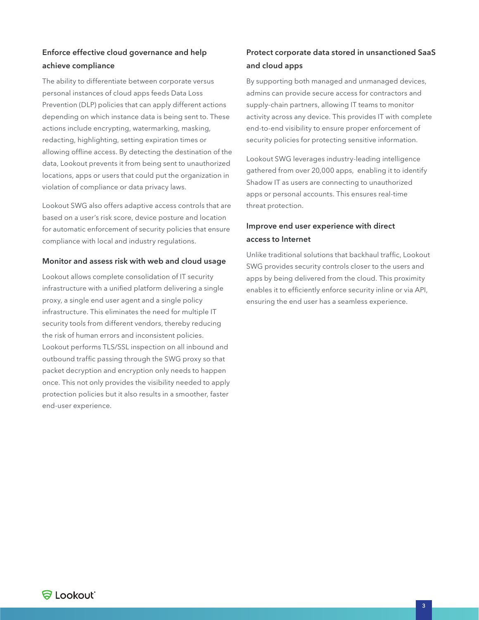# Enforce effective cloud governance and help achieve compliance

The ability to differentiate between corporate versus personal instances of cloud apps feeds Data Loss Prevention (DLP) policies that can apply different actions depending on which instance data is being sent to. These actions include encrypting, watermarking, masking, redacting, highlighting, setting expiration times or allowing offline access. By detecting the destination of the data, Lookout prevents it from being sent to unauthorized locations, apps or users that could put the organization in violation of compliance or data privacy laws.

Lookout SWG also offers adaptive access controls that are based on a user's risk score, device posture and location for automatic enforcement of security policies that ensure compliance with local and industry regulations.

#### Monitor and assess risk with web and cloud usage

Lookout allows complete consolidation of IT security infrastructure with a unified platform delivering a single proxy, a single end user agent and a single policy infrastructure. This eliminates the need for multiple IT security tools from different vendors, thereby reducing the risk of human errors and inconsistent policies. Lookout performs TLS/SSL inspection on all inbound and outbound traffic passing through the SWG proxy so that packet decryption and encryption only needs to happen once. This not only provides the visibility needed to apply protection policies but it also results in a smoother, faster end-user experience.

# Protect corporate data stored in unsanctioned SaaS and cloud apps

By supporting both managed and unmanaged devices, admins can provide secure access for contractors and supply-chain partners, allowing IT teams to monitor activity across any device. This provides IT with complete end-to-end visibility to ensure proper enforcement of security policies for protecting sensitive information.

Lookout SWG leverages industry-leading intelligence gathered from over 20,000 apps, enabling it to identify Shadow IT as users are connecting to unauthorized apps or personal accounts. This ensures real-time threat protection.

# Improve end user experience with direct access to Internet

Unlike traditional solutions that backhaul traffic, Lookout SWG provides security controls closer to the users and apps by being delivered from the cloud. This proximity enables it to efficiently enforce security inline or via API, ensuring the end user has a seamless experience.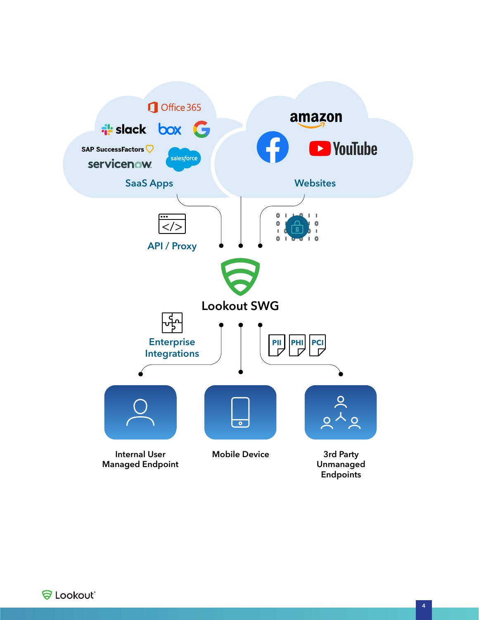